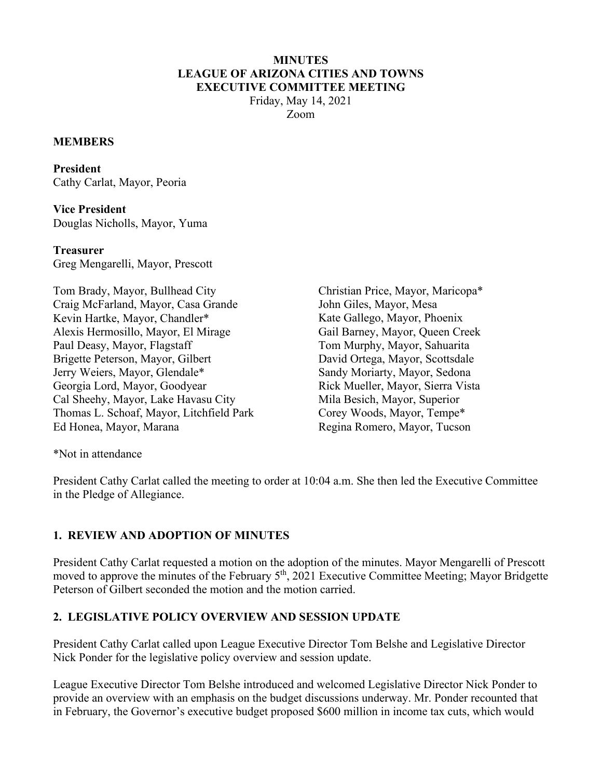#### **MINUTES LEAGUE OF ARIZONA CITIES AND TOWNS EXECUTIVE COMMITTEE MEETING** Friday, May 14, 2021

Zoom

#### **MEMBERS**

**President**  Cathy Carlat, Mayor, Peoria

**Vice President**  Douglas Nicholls, Mayor, Yuma

**Treasurer**  Greg Mengarelli, Mayor, Prescott

Tom Brady, Mayor, Bullhead City Craig McFarland, Mayor, Casa Grande Kevin Hartke, Mayor, Chandler\* Alexis Hermosillo, Mayor, El Mirage Paul Deasy, Mayor, Flagstaff Brigette Peterson, Mayor, Gilbert Jerry Weiers, Mayor, Glendale\* Georgia Lord, Mayor, Goodyear Cal Sheehy, Mayor, Lake Havasu City Thomas L. Schoaf, Mayor, Litchfield Park Ed Honea, Mayor, Marana

Christian Price, Mayor, Maricopa\* John Giles, Mayor, Mesa Kate Gallego, Mayor, Phoenix Gail Barney, Mayor, Queen Creek Tom Murphy, Mayor, Sahuarita David Ortega, Mayor, Scottsdale Sandy Moriarty, Mayor, Sedona Rick Mueller, Mayor, Sierra Vista Mila Besich, Mayor, Superior Corey Woods, Mayor, Tempe\* Regina Romero, Mayor, Tucson

\*Not in attendance

President Cathy Carlat called the meeting to order at 10:04 a.m. She then led the Executive Committee in the Pledge of Allegiance.

## **1. REVIEW AND ADOPTION OF MINUTES**

President Cathy Carlat requested a motion on the adoption of the minutes. Mayor Mengarelli of Prescott moved to approve the minutes of the February 5<sup>th</sup>, 2021 Executive Committee Meeting; Mayor Bridgette Peterson of Gilbert seconded the motion and the motion carried.

## **2. LEGISLATIVE POLICY OVERVIEW AND SESSION UPDATE**

President Cathy Carlat called upon League Executive Director Tom Belshe and Legislative Director Nick Ponder for the legislative policy overview and session update.

League Executive Director Tom Belshe introduced and welcomed Legislative Director Nick Ponder to provide an overview with an emphasis on the budget discussions underway. Mr. Ponder recounted that in February, the Governor's executive budget proposed \$600 million in income tax cuts, which would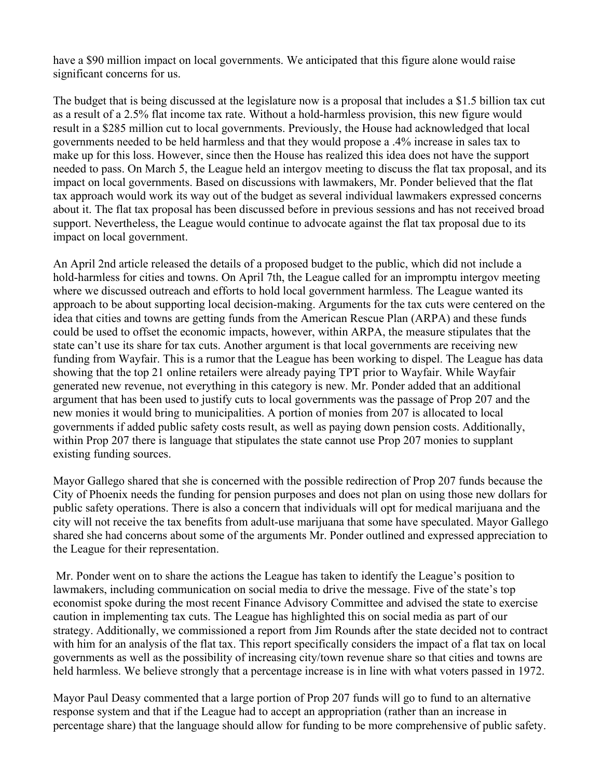have a \$90 million impact on local governments. We anticipated that this figure alone would raise significant concerns for us.

The budget that is being discussed at the legislature now is a proposal that includes a \$1.5 billion tax cut as a result of a 2.5% flat income tax rate. Without a hold-harmless provision, this new figure would result in a \$285 million cut to local governments. Previously, the House had acknowledged that local governments needed to be held harmless and that they would propose a .4% increase in sales tax to make up for this loss. However, since then the House has realized this idea does not have the support needed to pass. On March 5, the League held an intergov meeting to discuss the flat tax proposal, and its impact on local governments. Based on discussions with lawmakers, Mr. Ponder believed that the flat tax approach would work its way out of the budget as several individual lawmakers expressed concerns about it. The flat tax proposal has been discussed before in previous sessions and has not received broad support. Nevertheless, the League would continue to advocate against the flat tax proposal due to its impact on local government.

An April 2nd article released the details of a proposed budget to the public, which did not include a hold-harmless for cities and towns. On April 7th, the League called for an impromptu intergov meeting where we discussed outreach and efforts to hold local government harmless. The League wanted its approach to be about supporting local decision-making. Arguments for the tax cuts were centered on the idea that cities and towns are getting funds from the American Rescue Plan (ARPA) and these funds could be used to offset the economic impacts, however, within ARPA, the measure stipulates that the state can't use its share for tax cuts. Another argument is that local governments are receiving new funding from Wayfair. This is a rumor that the League has been working to dispel. The League has data showing that the top 21 online retailers were already paying TPT prior to Wayfair. While Wayfair generated new revenue, not everything in this category is new. Mr. Ponder added that an additional argument that has been used to justify cuts to local governments was the passage of Prop 207 and the new monies it would bring to municipalities. A portion of monies from 207 is allocated to local governments if added public safety costs result, as well as paying down pension costs. Additionally, within Prop 207 there is language that stipulates the state cannot use Prop 207 monies to supplant existing funding sources.

Mayor Gallego shared that she is concerned with the possible redirection of Prop 207 funds because the City of Phoenix needs the funding for pension purposes and does not plan on using those new dollars for public safety operations. There is also a concern that individuals will opt for medical marijuana and the city will not receive the tax benefits from adult-use marijuana that some have speculated. Mayor Gallego shared she had concerns about some of the arguments Mr. Ponder outlined and expressed appreciation to the League for their representation.

Mr. Ponder went on to share the actions the League has taken to identify the League's position to lawmakers, including communication on social media to drive the message. Five of the state's top economist spoke during the most recent Finance Advisory Committee and advised the state to exercise caution in implementing tax cuts. The League has highlighted this on social media as part of our strategy. Additionally, we commissioned a report from Jim Rounds after the state decided not to contract with him for an analysis of the flat tax. This report specifically considers the impact of a flat tax on local governments as well as the possibility of increasing city/town revenue share so that cities and towns are held harmless. We believe strongly that a percentage increase is in line with what voters passed in 1972.

Mayor Paul Deasy commented that a large portion of Prop 207 funds will go to fund to an alternative response system and that if the League had to accept an appropriation (rather than an increase in percentage share) that the language should allow for funding to be more comprehensive of public safety.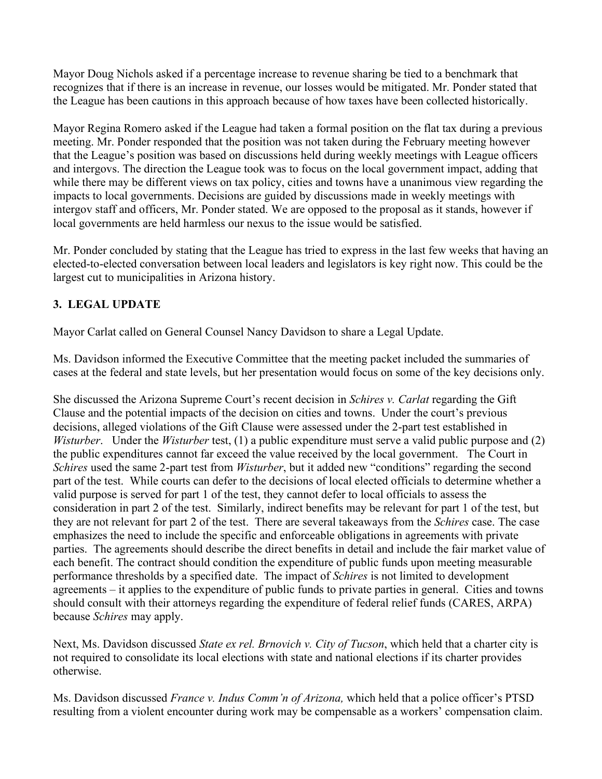Mayor Doug Nichols asked if a percentage increase to revenue sharing be tied to a benchmark that recognizes that if there is an increase in revenue, our losses would be mitigated. Mr. Ponder stated that the League has been cautions in this approach because of how taxes have been collected historically.

Mayor Regina Romero asked if the League had taken a formal position on the flat tax during a previous meeting. Mr. Ponder responded that the position was not taken during the February meeting however that the League's position was based on discussions held during weekly meetings with League officers and intergovs. The direction the League took was to focus on the local government impact, adding that while there may be different views on tax policy, cities and towns have a unanimous view regarding the impacts to local governments. Decisions are guided by discussions made in weekly meetings with intergov staff and officers, Mr. Ponder stated. We are opposed to the proposal as it stands, however if local governments are held harmless our nexus to the issue would be satisfied.

Mr. Ponder concluded by stating that the League has tried to express in the last few weeks that having an elected-to-elected conversation between local leaders and legislators is key right now. This could be the largest cut to municipalities in Arizona history.

# **3. LEGAL UPDATE**

Mayor Carlat called on General Counsel Nancy Davidson to share a Legal Update.

Ms. Davidson informed the Executive Committee that the meeting packet included the summaries of cases at the federal and state levels, but her presentation would focus on some of the key decisions only.

She discussed the Arizona Supreme Court's recent decision in *Schires v. Carlat* regarding the Gift Clause and the potential impacts of the decision on cities and towns. Under the court's previous decisions, alleged violations of the Gift Clause were assessed under the 2-part test established in *Wisturber*. Under the *Wisturber* test, (1) a public expenditure must serve a valid public purpose and (2) the public expenditures cannot far exceed the value received by the local government. The Court in *Schires* used the same 2-part test from *Wisturber*, but it added new "conditions" regarding the second part of the test. While courts can defer to the decisions of local elected officials to determine whether a valid purpose is served for part 1 of the test, they cannot defer to local officials to assess the consideration in part 2 of the test. Similarly, indirect benefits may be relevant for part 1 of the test, but they are not relevant for part 2 of the test. There are several takeaways from the *Schires* case. The case emphasizes the need to include the specific and enforceable obligations in agreements with private parties. The agreements should describe the direct benefits in detail and include the fair market value of each benefit. The contract should condition the expenditure of public funds upon meeting measurable performance thresholds by a specified date. The impact of *Schires* is not limited to development agreements – it applies to the expenditure of public funds to private parties in general. Cities and towns should consult with their attorneys regarding the expenditure of federal relief funds (CARES, ARPA) because *Schires* may apply.

Next, Ms. Davidson discussed *State ex rel. Brnovich v. City of Tucson*, which held that a charter city is not required to consolidate its local elections with state and national elections if its charter provides otherwise.

Ms. Davidson discussed *France v. Indus Comm'n of Arizona,* which held that a police officer's PTSD resulting from a violent encounter during work may be compensable as a workers' compensation claim.